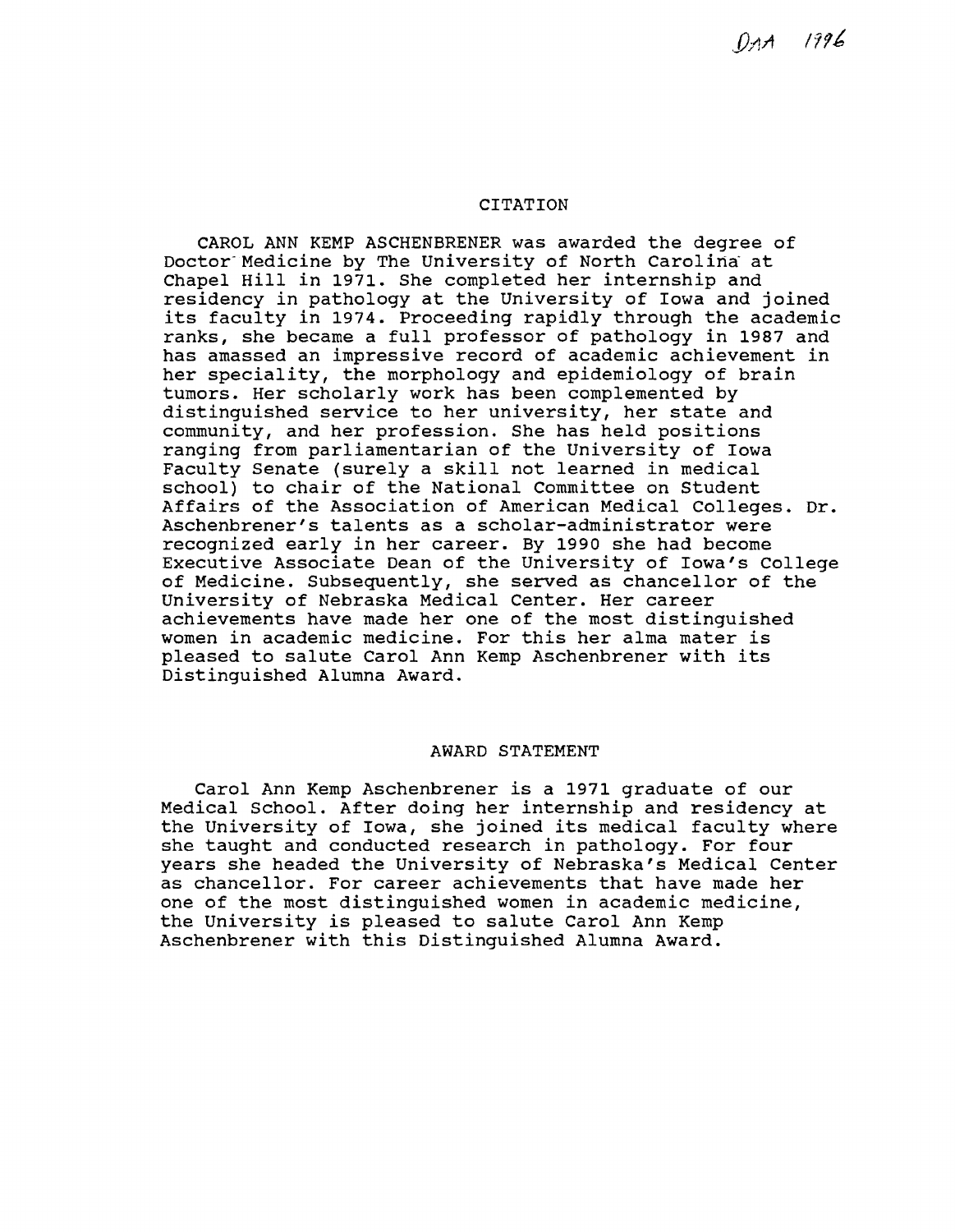$0$ <sub>1</sub>A  $1996$ 

# **CITATION**

CAROL ANN KEMP ASCHENBRENER was awarded the degree of Doctor-Medicine by The University of North Carolina at Chapel Hill in 1971. She completed her internship and residency in pathology at the University of Iowa and joined its faculty in 1974. Proceeding rapidly through the academic ranks, she became a full professor of pathology in 1987 and has amassed an impressive record of academic achievement in her speciality, the morphology and epidemiology of brain tumors. Her scholarly work has been complemented by distinguished service to her university, her state and community, and her profession. She has held positions ranging from parliamentarian of the University of Iowa Faculty Senate (surely a skill not learned in medical school) to chair of the National Committee on Student Affairs of the Association of American Medical Colleges. Dr. Aschenbrener's talents as a scholar-administrator were recognized early in her career. By 1990 she had become Executive Associate Dean of the University of Iowa's College of Medicine. Subsequently, she served as chancellor of the University of Nebraska Medical Center. Her career achievements have made her one of the most distinguished women in academic medicine. For this her alma mater is pleased to salute Carol Ann Kemp Aschenbrener with its Distinguished Alumna Award.

#### AWARD STATEMENT

Carol Ann Kemp Aschenbrener is a 1971 graduate of our Medical School. After doing her internship and residency at the University of Iowa, she joined its medical faculty where she taught and conducted research in pathology. For four years she headed the University of Nebraska's Medical Center as chancellor. For career achievements that have made her one of the most distinguished women in academic medicine, the University is pleased to salute Carol Ann Kemp Aschenbrener with this Distinguished Alumna Award.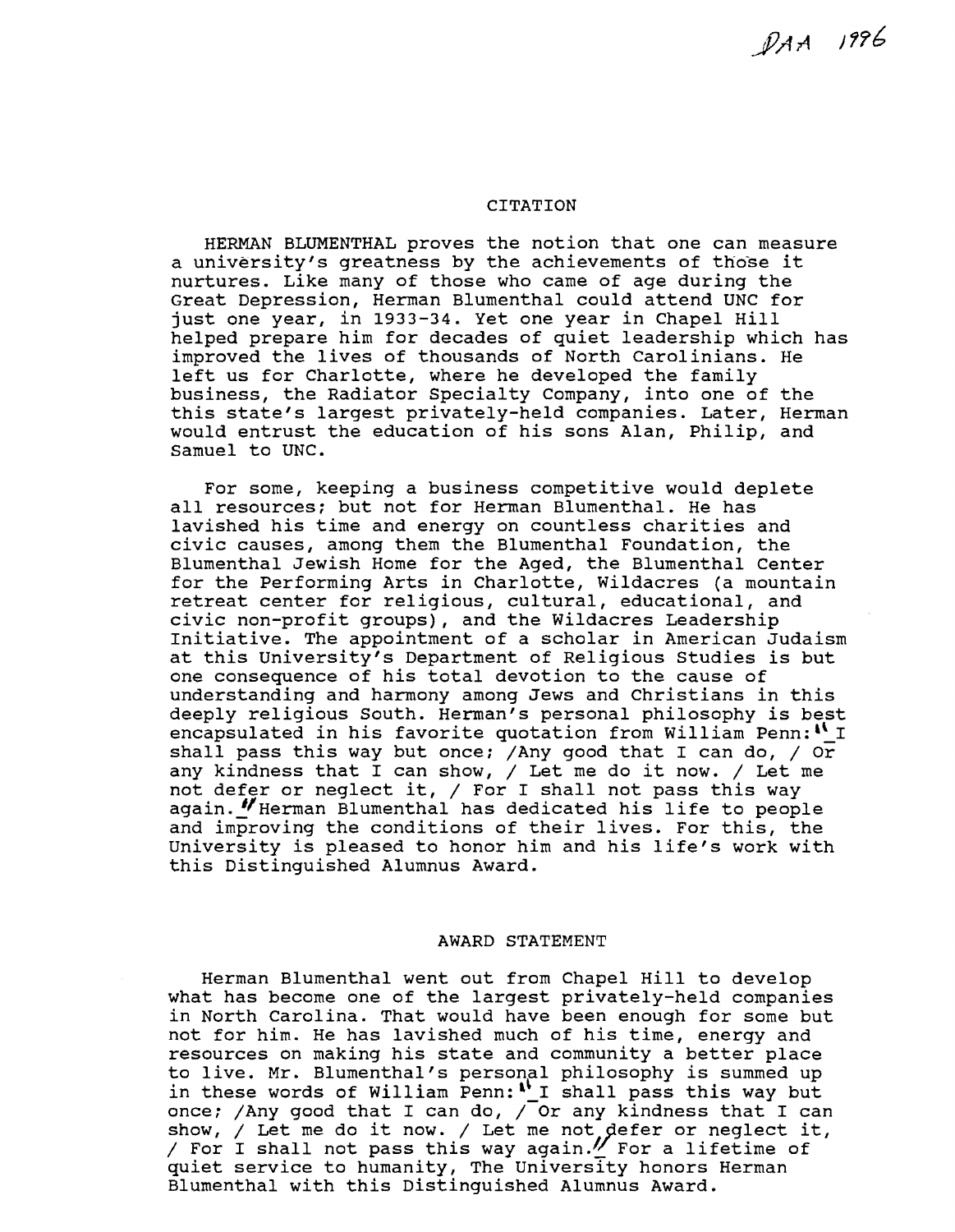$PAA$  1996

## CITATION

HERMAN BLUMENTHAL proves the notion that one can measure a university's greatness by the achievements of those it nurtures. Like many of those who came of age during the Great Depression, Herman Blumenthal could attend UNC for just one year, in 1933-34. Yet one year in Chapel Hill helped prepare him for decades of quiet leadership which has improved the lives of thousands of North Carolinians. He left us for Charlotte, where he developed the family business, the Radiator Specialty Company, into one of the this state's largest privately-held companies. Later, Herman would entrust the education of his sons Alan, Philip, and Samuel to UNC.

For some, keeping a business competitive would deplete all resources; but not for Herman Blumenthal. He has lavished his time and energy on countless charities and civic causes, among them the Blumenthal Foundation, the Blumenthal Jewish Home for the Aged, the Blumenthal Center for the Performing Arts in Charlotte, Wildacres (a mountain retreat center for religious, cultural, educational, and civic non-profit groups), and the Wildacres Leadership Initiative. The appointment of a scholar in American Judaism at this University's Department of Religious Studies is but one consequence of his total devotion to the cause of understanding and harmony among Jews and Christians in this deeply religious South. Herman's personal philosophy is best encapsulated in his favorite quotation from William Penn:  $N I$ shall pass this way but once; /Any good that I can do, / Or any kindness that I can show, / Let me do it now. / Let me any kindness that I can show,  $\frac{1}{2}$  bet me do It how.  $\frac{1}{2}$  bet in again. "Herman Blumenthal has dedicated his life to people and improving the conditions of their lives. For this, the University is pleased to honor him and his life's work with this Distinguished Alumnus Award.

#### AWARD STATEMENT

Herman Blumenthal went out from Chapel Hill to develop what has become one of the largest privately-held companies in North Carolina. That would have been enough for some but not for him. He has lavished much of his time, energy and resources on making his state and community a better place to live. Mr. Blumenthal's personal philosophy is summed up in these words of William Penn:<sup>1</sup>' I shall pass this way but once; /Any good that I can do, / Or any kindness that I can show,  $/$  Let me do it now.  $/$  Let me not defer or neglect it, / For I shall not pass this way again. $%$  For a lifetime of quiet service to humanity, The University honors Herman Blumenthal with this Distinguished Alumnus Award.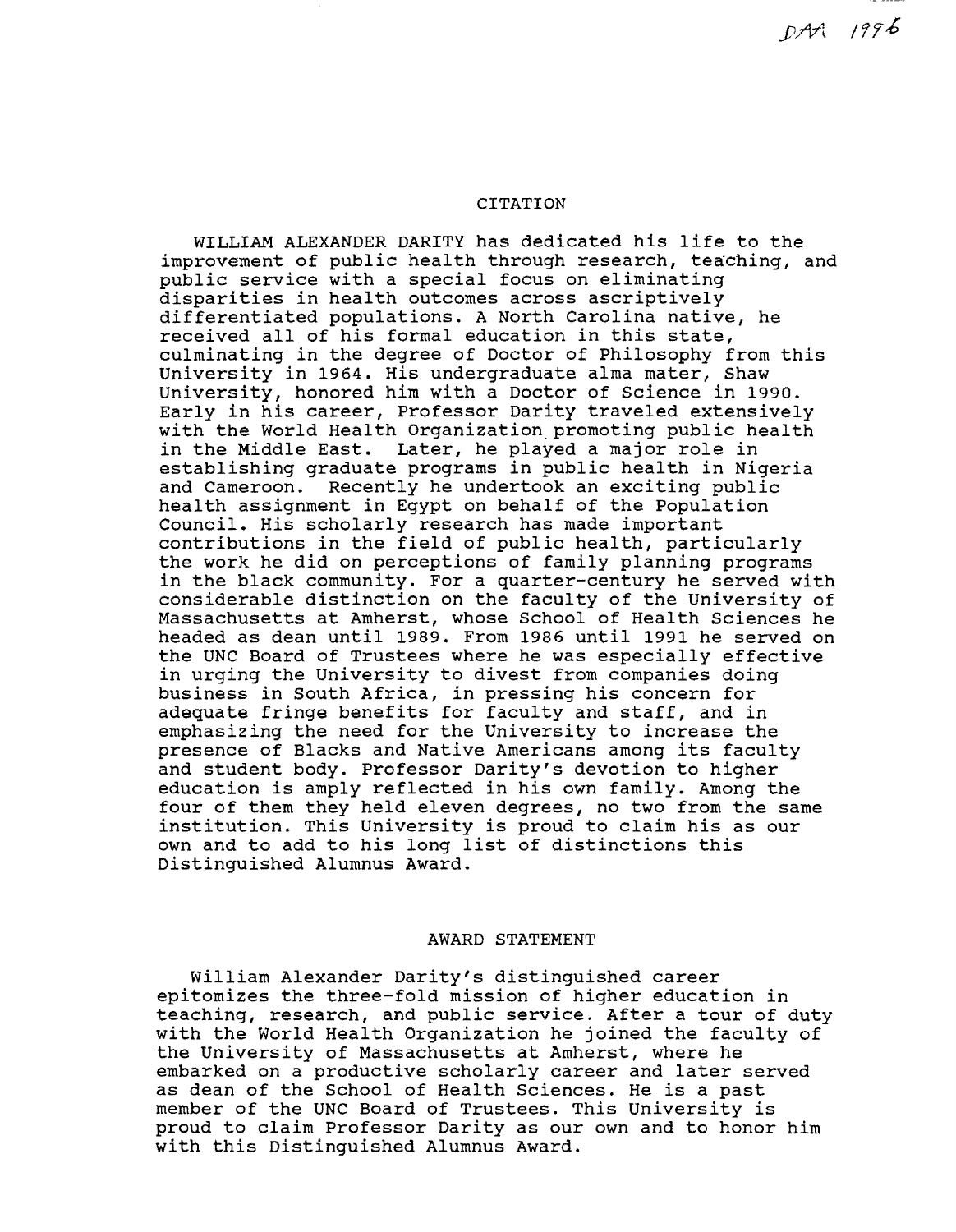## **CITATION**

WILLIAM ALEXANDER DARITY has dedicated his life to the improvement of public health through research, teaching, and public service with a special focus on eliminating disparities in health outcomes across ascriptively differentiated populations. A North Carolina native, he received all of his formal education in this state, culminating in the degree of Doctor of Philosophy from this University in 1964. His undergraduate alma mater, Shaw University, honored him with a Doctor of Science in 1990. Early in his career, Professor Darity traveled extensively with the World Health Organization promoting public health in the Middle East. Later, he played a major role in establishing graduate programs in public health in Nigeria and Cameroon. Recently he undertook an exciting public health assignment in Egypt on behalf of the Population Council. His scholarly research has made important contributions in the field of public health, particularly the work he did on perceptions of family planning programs in the black community. For a quarter-century he served with considerable distinction on the faculty of the University of Massachusetts at Amherst, whose School of Health Sciences he headed as dean until 1989. From 1986 until 1991 he served on the UNC Board of Trustees where he was especially effective in urging the University to divest from companies doing business in South Africa, in pressing his concern for adequate fringe benefits for faculty and staff, and in emphasizing the need for the University to increase the presence of Blacks and Native Americans among its faculty and student body. Professor Darity's devotion to higher education is amply reflected in his own family. Among the four of them they held eleven degrees, no two from the same institution. This University is proud to claim his as our own and to add to his long list of distinctions this Distinguished Alumnus Award.

#### AWARD STATEMENT

William Alexander Darity's distinguished career epitomizes the three-fold mission of higher education in teaching, research, and public service. After a tour of duty with the World Health Organization he joined the faculty of the University of Massachusetts at Amherst, where he embarked on a productive scholarly career and later served as dean of the School of Health Sciences. He is a past member of the UNC Board of Trustees. This University is proud to claim Professor Darity as our own and to honor him with this Distinguished Alumnus Award.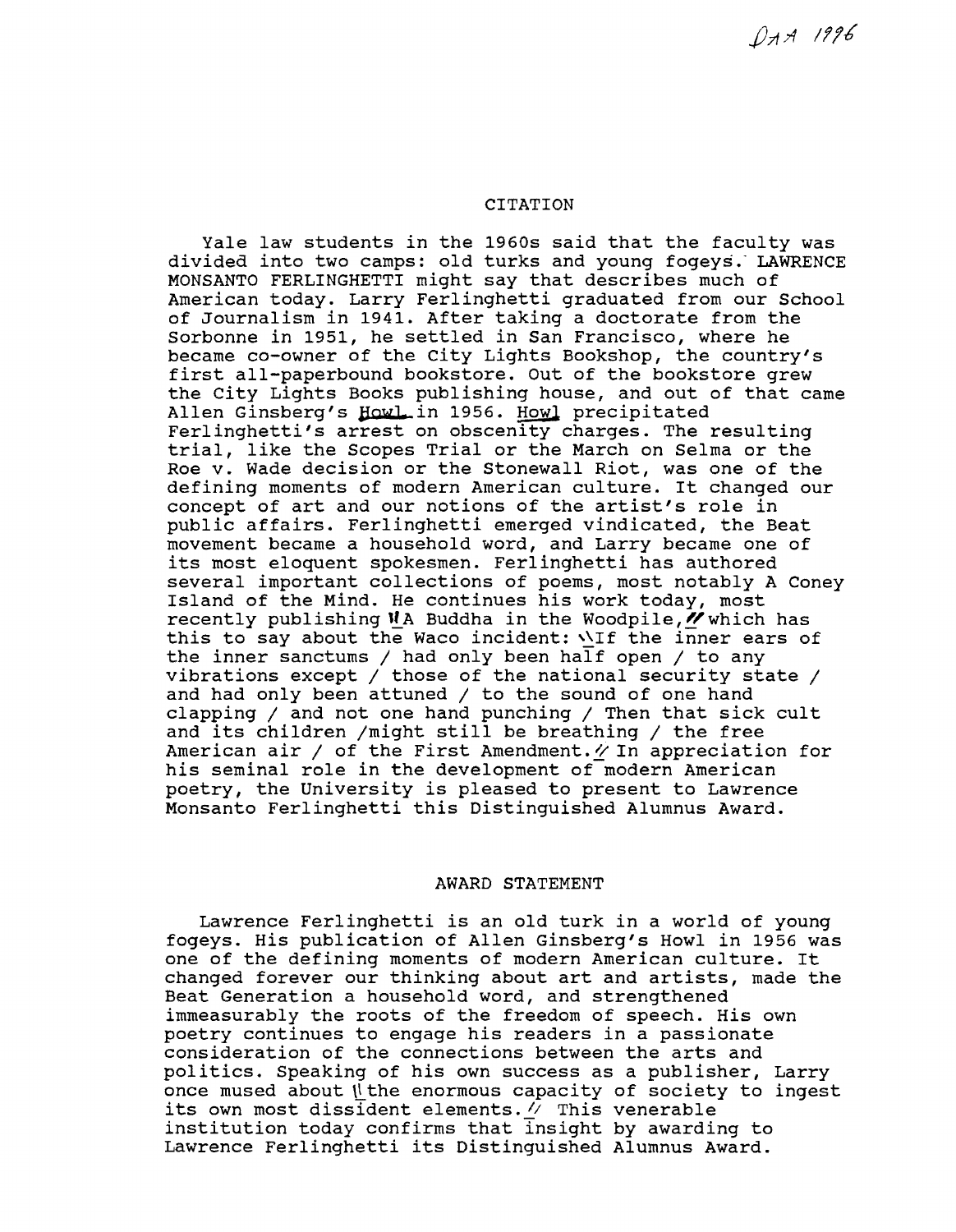$QAA$  1996

# CITATION

Yale law students in the 1960s said that the faculty was divided into two camps: old turks and young fogeys: LAWRENCE MONSANTO FERLINGHETTI might say that describes much of American today. Larry Ferlinghetti graduated from our School of Journalism in 1941. After taking a doctorate from the Sorbonne in 1951, he settled in San Francisco, where he became co-owner of the city Lights Bookshop, the country's first all-paperbound bookstore. Out of the bookstore grew the City Lights Books publishing house, and out of that came Allen Ginsberg's Howl in 1956. Howl precipitated Ferlinghetti's arrest on obscenity charges. The resulting trial, like the Scopes Trial or the March on Selma or the Roe v. Wade decision or the Stonewall Riot, was one of the defining moments of modern American culture. It changed our concept of art and our notions of the artist's role in public affairs. Ferlinghetti emerged vindicated, the Beat movement became a household word, and Larry became one of its most eloquent spokesmen. Ferlinghetti has authored several important collections of poems, most notably A Coney Island of the Mind. He continues his work today, most recently publishing  $NA$  Buddha in the Woodpile,  $N$  which has this to say about the Waco incident:  $\sqrt{1}f$  the inner ears of the inner sanctums / had only been half open / to any vibrations except / those of the national security state / and had only been attuned  $/$  to the sound of one hand clapping / and not one hand punching / Then that sick cult and its children /might still be breathing / the free American air / of the First Amendment. $\gamma$  In appreciation for his seminal role in the development of modern American poetry, the University is pleased to present to Lawrence Monsanto Ferlinghetti this Distinguished Alumnus Award.

### AWARD STATEMENT

Lawrence Ferlinghetti is an old turk in a world of young fogeys. His publication of Allen Ginsberg's Howl in 1956 was one of the defining moments of modern American culture. It changed forever our thinking about art and artists, made the Beat Generation a household word, and strengthened immeasurably the roots of the freedom of speech. His own poetry continues to engage his readers in a passionate consideration of the connections between the arts and politics. Speaking of his own success as a publisher, Larry once mused about  $\parallel$  the enormous capacity of society to ingest its own most dissident elements.  $\vee$  This venerable institution today confirms that Insight by awarding to Lawrence Ferlinghetti its Distinguished Alumnus Award.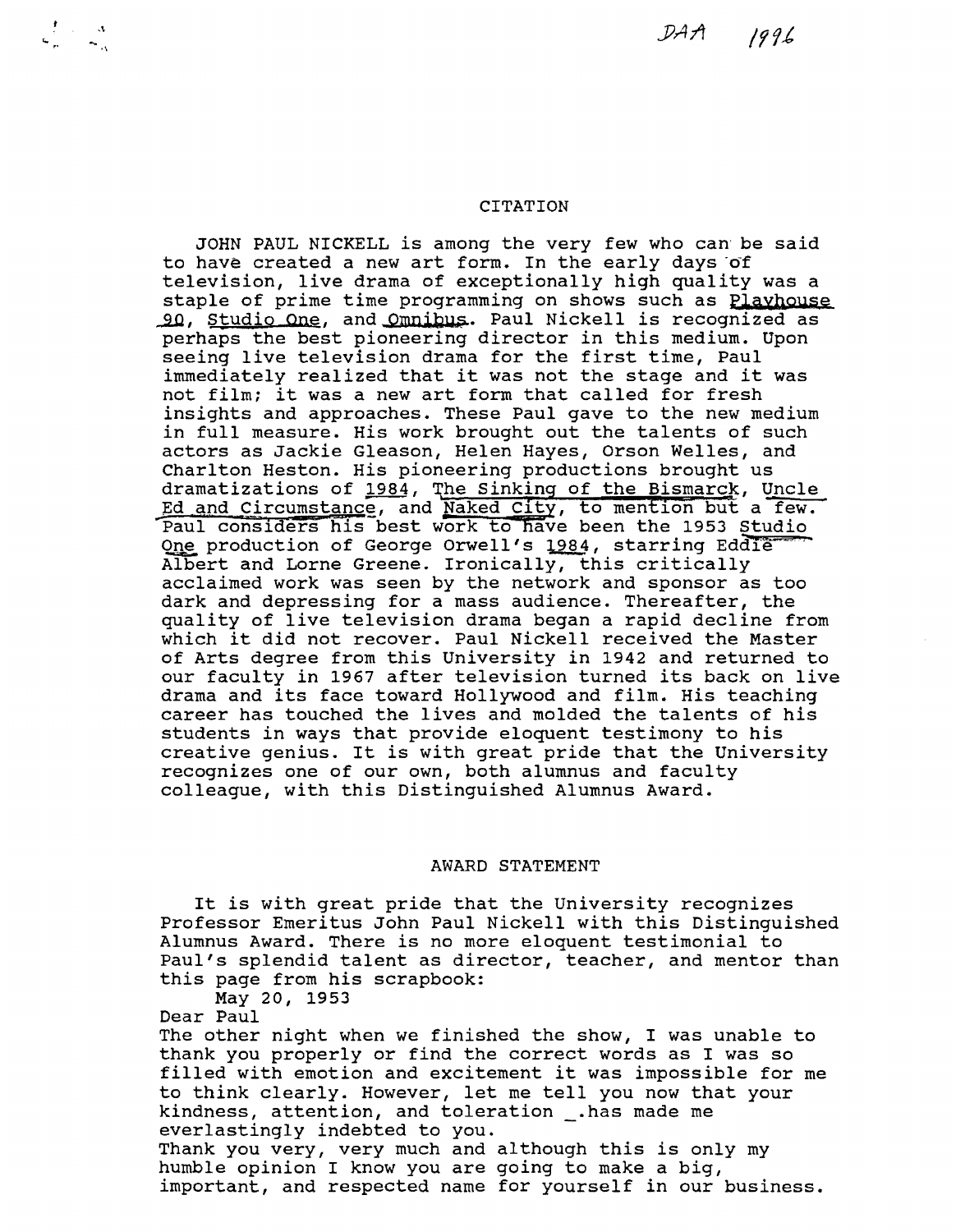## CITATION

JOHN PAUL NICKELL is among the very few who can be said to have created a new art form. In the early days of television, live drama of exceptionally high quality was a staple of prime time programming on shows such as **Playhouse** 90, Studio One, and Omnibus. Paul Nickell is recognized as perhaps the best pioneering director in this medium. Upon seeing live television drama for the first time, Paul immediately realized that it was not the stage and it was not film; it was a new art form that called for fresh insights and approaches. These Paul gave to the new medium in full measure. His work brought out the talents of such actors as Jackie Gleason, Helen Hayes, Orson Welles, and Charlton Heston. His pioneering productions brought us<br>dramatizations of 1984, The Sinking of the Bismarck, Uncle dramatizations of 1984, The Sinking of the Bismarck, Uncle Ed and Circumstance, and Naked City, to mention but a few. Paul considers his best work to have been the 1953 Studio One production of George Orwell's 1984, starring Eddie-ADbert and Lorne Greene. Ironically, this critically acclaimed work was seen by the network and sponsor as too dark and depressing for a mass audience. Thereafter, the quality of live television drama began a rapid decline from which it did not recover. Paul Nickell received the Master of Arts degree from this University in 1942 and returned to our faculty in 1967 after television turned its back on live drama and its face toward Hollywood and film. His teaching career has touched the lives and molded the talents of his students in ways that provide eloquent testimony to his creative genius. It is with great pride that the University recognizes one of our own, both alumnus and faculty colleague, with this Distinguished Alumnus Award.

# AWARD STATEMENT

It is with great pride that the University recognizes Professor Emeritus John Paul Nickell with this Distinguished Alumnus Award. There is no more eloquent testimonial to Paul's splendid talent as director, teacher, and mentor than this page from his scrapbook: May 20, 1953

Dear Paul

 $\frac{1}{n}$ .  $\frac{1}{n}$ 

The other night when we finished the show, I was unable to thank you properly or find the correct words as I was so filled with emotion and excitement it was impossible for me to think clearly. However, let me tell you now that your kindness, attention, and toleration \_.has made me<br>everlastingly indebted to you. Thank you very, very much and although this is only my humble opinion I know you are going to make a big, important, and respected name for yourself in our business.